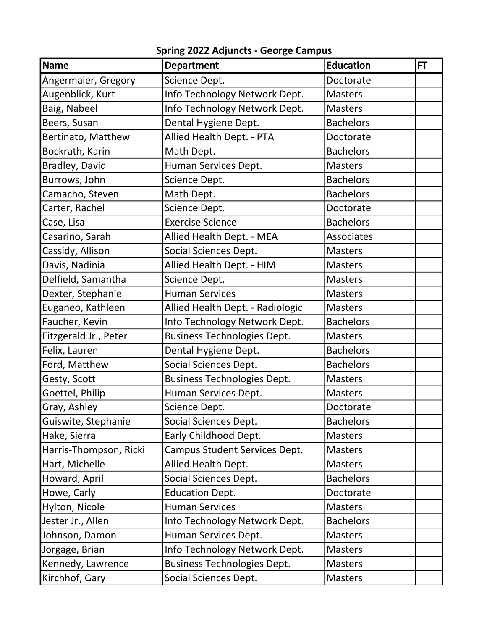| <b>Name</b>            | Department                         | <b>Education</b> | <b>FT</b> |
|------------------------|------------------------------------|------------------|-----------|
| Angermaier, Gregory    | Science Dept.                      | Doctorate        |           |
| Augenblick, Kurt       | Info Technology Network Dept.      | <b>Masters</b>   |           |
| Baig, Nabeel           | Info Technology Network Dept.      | <b>Masters</b>   |           |
| Beers, Susan           | Dental Hygiene Dept.               | <b>Bachelors</b> |           |
| Bertinato, Matthew     | Allied Health Dept. - PTA          | Doctorate        |           |
| Bockrath, Karin        | Math Dept.                         | <b>Bachelors</b> |           |
| Bradley, David         | Human Services Dept.               | <b>Masters</b>   |           |
| Burrows, John          | Science Dept.                      | <b>Bachelors</b> |           |
| Camacho, Steven        | Math Dept.                         | <b>Bachelors</b> |           |
| Carter, Rachel         | Science Dept.                      | Doctorate        |           |
| Case, Lisa             | <b>Exercise Science</b>            | <b>Bachelors</b> |           |
| Casarino, Sarah        | Allied Health Dept. - MEA          | Associates       |           |
| Cassidy, Allison       | Social Sciences Dept.              | <b>Masters</b>   |           |
| Davis, Nadinia         | Allied Health Dept. - HIM          | <b>Masters</b>   |           |
| Delfield, Samantha     | Science Dept.                      | <b>Masters</b>   |           |
| Dexter, Stephanie      | <b>Human Services</b>              | <b>Masters</b>   |           |
| Euganeo, Kathleen      | Allied Health Dept. - Radiologic   | <b>Masters</b>   |           |
| Faucher, Kevin         | Info Technology Network Dept.      | <b>Bachelors</b> |           |
| Fitzgerald Jr., Peter  | <b>Business Technologies Dept.</b> | <b>Masters</b>   |           |
| Felix, Lauren          | Dental Hygiene Dept.               | <b>Bachelors</b> |           |
| Ford, Matthew          | Social Sciences Dept.              | <b>Bachelors</b> |           |
| Gesty, Scott           | <b>Business Technologies Dept.</b> | <b>Masters</b>   |           |
| Goettel, Philip        | Human Services Dept.               | <b>Masters</b>   |           |
| Gray, Ashley           | Science Dept.                      | Doctorate        |           |
| Guiswite, Stephanie    | Social Sciences Dept.              | <b>Bachelors</b> |           |
| Hake, Sierra           | Early Childhood Dept.              | <b>Masters</b>   |           |
| Harris-Thompson, Ricki | Campus Student Services Dept.      | <b>Masters</b>   |           |
| Hart, Michelle         | Allied Health Dept.                | <b>Masters</b>   |           |
| Howard, April          | Social Sciences Dept.              | <b>Bachelors</b> |           |
| Howe, Carly            | <b>Education Dept.</b>             | Doctorate        |           |
| Hylton, Nicole         | <b>Human Services</b>              | <b>Masters</b>   |           |
| Jester Jr., Allen      | Info Technology Network Dept.      | <b>Bachelors</b> |           |
| Johnson, Damon         | Human Services Dept.               | <b>Masters</b>   |           |
| Jorgage, Brian         | Info Technology Network Dept.      | <b>Masters</b>   |           |
| Kennedy, Lawrence      | <b>Business Technologies Dept.</b> | <b>Masters</b>   |           |
| Kirchhof, Gary         | Social Sciences Dept.              | Masters          |           |

Spring 2022 Adjuncts- George Campus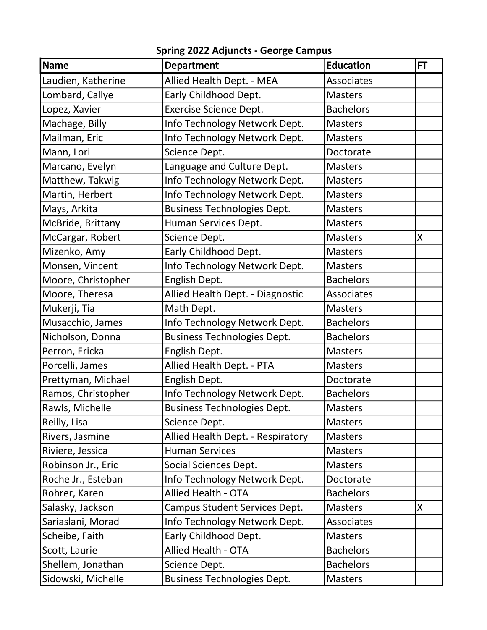| Name               | <b>Department</b>                       | <b>Education</b>  | <b>FT</b> |
|--------------------|-----------------------------------------|-------------------|-----------|
| Laudien, Katherine | Allied Health Dept. - MEA               | <b>Associates</b> |           |
| Lombard, Callye    | Early Childhood Dept.                   | <b>Masters</b>    |           |
| Lopez, Xavier      | <b>Exercise Science Dept.</b>           | <b>Bachelors</b>  |           |
| Machage, Billy     | Info Technology Network Dept.           | <b>Masters</b>    |           |
| Mailman, Eric      | Info Technology Network Dept.           | <b>Masters</b>    |           |
| Mann, Lori         | Science Dept.                           | Doctorate         |           |
| Marcano, Evelyn    | Language and Culture Dept.              | <b>Masters</b>    |           |
| Matthew, Takwig    | Info Technology Network Dept.           | <b>Masters</b>    |           |
| Martin, Herbert    | Info Technology Network Dept.           | <b>Masters</b>    |           |
| Mays, Arkita       | <b>Business Technologies Dept.</b>      | <b>Masters</b>    |           |
| McBride, Brittany  | Human Services Dept.                    | <b>Masters</b>    |           |
| McCargar, Robert   | Science Dept.                           | <b>Masters</b>    | $\sf X$   |
| Mizenko, Amy       | Early Childhood Dept.                   | <b>Masters</b>    |           |
| Monsen, Vincent    | Info Technology Network Dept.           | <b>Masters</b>    |           |
| Moore, Christopher | English Dept.                           | <b>Bachelors</b>  |           |
| Moore, Theresa     | <b>Allied Health Dept. - Diagnostic</b> | <b>Associates</b> |           |
| Mukerji, Tia       | Math Dept.                              | <b>Masters</b>    |           |
| Musacchio, James   | Info Technology Network Dept.           | <b>Bachelors</b>  |           |
| Nicholson, Donna   | <b>Business Technologies Dept.</b>      | <b>Bachelors</b>  |           |
| Perron, Ericka     | English Dept.                           | <b>Masters</b>    |           |
| Porcelli, James    | Allied Health Dept. - PTA               | <b>Masters</b>    |           |
| Prettyman, Michael | English Dept.                           | Doctorate         |           |
| Ramos, Christopher | Info Technology Network Dept.           | <b>Bachelors</b>  |           |
| Rawls, Michelle    | <b>Business Technologies Dept.</b>      | <b>Masters</b>    |           |
| Reilly, Lisa       | Science Dept.                           | <b>Masters</b>    |           |
| Rivers, Jasmine    | Allied Health Dept. - Respiratory       | <b>Masters</b>    |           |
| Riviere, Jessica   | <b>Human Services</b>                   | <b>Masters</b>    |           |
| Robinson Jr., Eric | Social Sciences Dept.                   | <b>Masters</b>    |           |
| Roche Jr., Esteban | Info Technology Network Dept.           | Doctorate         |           |
| Rohrer, Karen      | <b>Allied Health - OTA</b>              | <b>Bachelors</b>  |           |
| Salasky, Jackson   | Campus Student Services Dept.           | <b>Masters</b>    | X         |
| Sariaslani, Morad  | Info Technology Network Dept.           | Associates        |           |
| Scheibe, Faith     | Early Childhood Dept.                   | <b>Masters</b>    |           |
| Scott, Laurie      | <b>Allied Health - OTA</b>              | <b>Bachelors</b>  |           |
| Shellem, Jonathan  | Science Dept.                           | <b>Bachelors</b>  |           |
| Sidowski, Michelle | <b>Business Technologies Dept.</b>      | <b>Masters</b>    |           |

Spring 2022 Adjuncts- George Campus